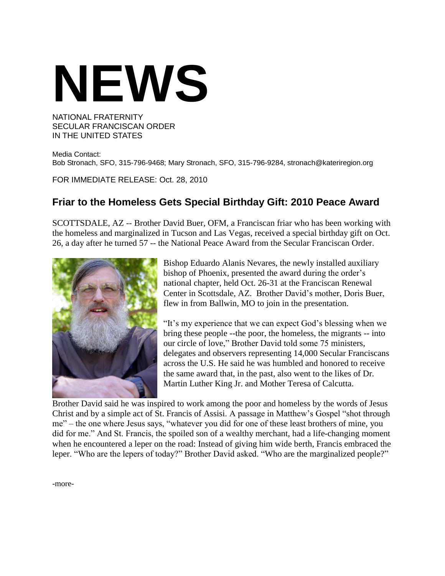## **NEWS**

## NATIONAL FRATERNITY SECULAR FRANCISCAN ORDER IN THE UNITED STATES

Media Contact: Bob Stronach, SFO, 315-796-9468; Mary Stronach, SFO, 315-796-9284, stronach@kateriregion.org

FOR IMMEDIATE RELEASE: Oct. 28, 2010

## **Friar to the Homeless Gets Special Birthday Gift: 2010 Peace Award**

SCOTTSDALE, AZ -- Brother David Buer, OFM, a Franciscan friar who has been working with the homeless and marginalized in Tucson and Las Vegas, received a special birthday gift on Oct. 26, a day after he turned 57 -- the National Peace Award from the Secular Franciscan Order.



Bishop Eduardo Alanis Nevares, the newly installed auxiliary bishop of Phoenix, presented the award during the order's national chapter, held Oct. 26-31 at the Franciscan Renewal Center in Scottsdale, AZ. Brother David"s mother, Doris Buer, flew in from Ballwin, MO to join in the presentation.

"It"s my experience that we can expect God"s blessing when we bring these people --the poor, the homeless, the migrants -- into our circle of love," Brother David told some 75 ministers, delegates and observers representing 14,000 Secular Franciscans across the U.S. He said he was humbled and honored to receive the same award that, in the past, also went to the likes of Dr. Martin Luther King Jr. and Mother Teresa of Calcutta.

Brother David said he was inspired to work among the poor and homeless by the words of Jesus Christ and by a simple act of St. Francis of Assisi. A passage in Matthew"s Gospel "shot through me" – the one where Jesus says, "whatever you did for one of these least brothers of mine, you did for me." And St. Francis, the spoiled son of a wealthy merchant, had a life-changing moment when he encountered a leper on the road: Instead of giving him wide berth, Francis embraced the leper. "Who are the lepers of today?" Brother David asked. "Who are the marginalized people?"

-more-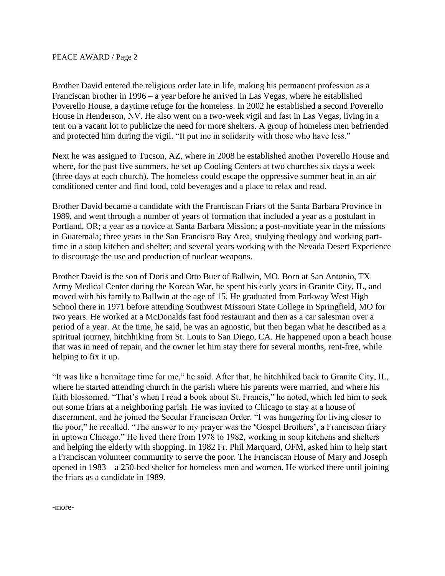Brother David entered the religious order late in life, making his permanent profession as a Franciscan brother in 1996 – a year before he arrived in Las Vegas, where he established Poverello House, a daytime refuge for the homeless. In 2002 he established a second Poverello House in Henderson, NV. He also went on a two-week vigil and fast in Las Vegas, living in a tent on a vacant lot to publicize the need for more shelters. A group of homeless men befriended and protected him during the vigil. "It put me in solidarity with those who have less."

Next he was assigned to Tucson, AZ, where in 2008 he established another Poverello House and where, for the past five summers, he set up Cooling Centers at two churches six days a week (three days at each church). The homeless could escape the oppressive summer heat in an air conditioned center and find food, cold beverages and a place to relax and read.

Brother David became a candidate with the Franciscan Friars of the Santa Barbara Province in 1989, and went through a number of years of formation that included a year as a postulant in Portland, OR; a year as a novice at Santa Barbara Mission; a post-novitiate year in the missions in Guatemala; three years in the San Francisco Bay Area, studying theology and working parttime in a soup kitchen and shelter; and several years working with the Nevada Desert Experience to discourage the use and production of nuclear weapons.

Brother David is the son of Doris and Otto Buer of Ballwin, MO. Born at San Antonio, TX Army Medical Center during the Korean War, he spent his early years in Granite City, IL, and moved with his family to Ballwin at the age of 15. He graduated from Parkway West High School there in 1971 before attending Southwest Missouri State College in Springfield, MO for two years. He worked at a McDonalds fast food restaurant and then as a car salesman over a period of a year. At the time, he said, he was an agnostic, but then began what he described as a spiritual journey, hitchhiking from St. Louis to San Diego, CA. He happened upon a beach house that was in need of repair, and the owner let him stay there for several months, rent-free, while helping to fix it up.

"It was like a hermitage time for me," he said. After that, he hitchhiked back to Granite City, IL, where he started attending church in the parish where his parents were married, and where his faith blossomed. "That's when I read a book about St. Francis," he noted, which led him to seek out some friars at a neighboring parish. He was invited to Chicago to stay at a house of discernment, and he joined the Secular Franciscan Order. "I was hungering for living closer to the poor," he recalled. "The answer to my prayer was the "Gospel Brothers", a Franciscan friary in uptown Chicago." He lived there from 1978 to 1982, working in soup kitchens and shelters and helping the elderly with shopping. In 1982 Fr. Phil Marquard, OFM, asked him to help start a Franciscan volunteer community to serve the poor. The Franciscan House of Mary and Joseph opened in 1983 – a 250-bed shelter for homeless men and women. He worked there until joining the friars as a candidate in 1989.

-more-